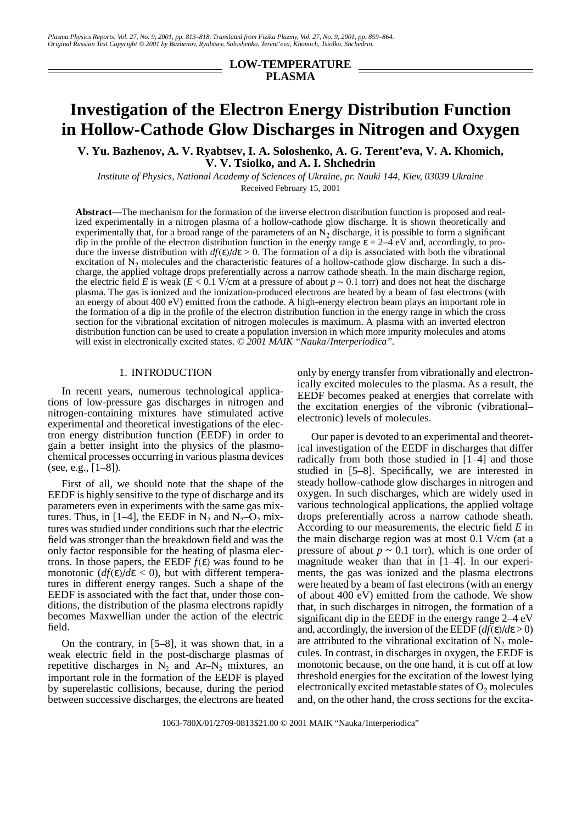## **LOW-TEMPERATURE PLASMA**

# **Investigation of the Electron Energy Distribution Function in Hollow-Cathode Glow Discharges in Nitrogen and Oxygen**

**V. Yu. Bazhenov, A. V. Ryabtsev, I. A. Soloshenko, A. G. Terent'eva, V. A. Khomich, V. V. Tsiolko, and A. I. Shchedrin**

*Institute of Physics, National Academy of Sciences of Ukraine, pr. Nauki 144, Kiev, 03039 Ukraine* Received February 15, 2001

**Abstract**—The mechanism for the formation of the inverse electron distribution function is proposed and realized experimentally in a nitrogen plasma of a hollow-cathode glow discharge. It is shown theoretically and experimentally that, for a broad range of the parameters of an  $N<sub>2</sub>$  discharge, it is possible to form a significant dip in the profile of the electron distribution function in the energy range  $\varepsilon = 2-4$  eV and, accordingly, to produce the inverse distribution with  $df(\varepsilon)/d\varepsilon > 0$ . The formation of a dip is associated with both the vibrational excitation of  $N_2$  molecules and the characteristic features of a hollow-cathode glow discharge. In such a discharge, the applied voltage drops preferentially across a narrow cathode sheath. In the main discharge region, the electric field *E* is weak ( $E \le 0.1$  V/cm at a pressure of about  $p \sim 0.1$  torr) and does not heat the discharge plasma. The gas is ionized and the ionization-produced electrons are heated by a beam of fast electrons (with an energy of about 400 eV) emitted from the cathode. A high-energy electron beam plays an important role in the formation of a dip in the profile of the electron distribution function in the energy range in which the cross section for the vibrational excitation of nitrogen molecules is maximum. A plasma with an inverted electron distribution function can be used to create a population inversion in which more impurity molecules and atoms will exist in electronically excited states. *© 2001 MAIK "Nauka/Interperiodica".*

#### 1. INTRODUCTION

In recent years, numerous technological applications of low-pressure gas discharges in nitrogen and nitrogen-containing mixtures have stimulated active experimental and theoretical investigations of the electron energy distribution function (EEDF) in order to gain a better insight into the physics of the plasmochemical processes occurring in various plasma devices (see, e.g.,  $[1-8]$ ).

First of all, we should note that the shape of the EEDF is highly sensitive to the type of discharge and its parameters even in experiments with the same gas mixtures. Thus, in [1–4], the EEDF in  $N_2$  and  $N_2$ –O<sub>2</sub> mixtures was studied under conditions such that the electric field was stronger than the breakdown field and was the only factor responsible for the heating of plasma electrons. In those papers, the EEDF *f*(ε) was found to be monotonic  $(df(\varepsilon)/d\varepsilon < 0)$ , but with different temperatures in different energy ranges. Such a shape of the EEDF is associated with the fact that, under those conditions, the distribution of the plasma electrons rapidly becomes Maxwellian under the action of the electric field.

On the contrary, in [5–8], it was shown that, in a weak electric field in the post-discharge plasmas of repetitive discharges in  $N_2$  and Ar– $N_2$  mixtures, an important role in the formation of the EEDF is played by superelastic collisions, because, during the period between successive discharges, the electrons are heated only by energy transfer from vibrationally and electronically excited molecules to the plasma. As a result, the EEDF becomes peaked at energies that correlate with the excitation energies of the vibronic (vibrational– electronic) levels of molecules.

Our paper is devoted to an experimental and theoretical investigation of the EEDF in discharges that differ radically from both those studied in [1–4] and those studied in [5–8]. Specifically, we are interested in steady hollow-cathode glow discharges in nitrogen and oxygen. In such discharges, which are widely used in various technological applications, the applied voltage drops preferentially across a narrow cathode sheath. According to our measurements, the electric field *E* in the main discharge region was at most 0.1 V/cm (at a pressure of about  $p \sim 0.1$  torr), which is one order of magnitude weaker than that in [1–4]. In our experiments, the gas was ionized and the plasma electrons were heated by a beam of fast electrons (with an energy of about 400 eV) emitted from the cathode. We show that, in such discharges in nitrogen, the formation of a significant dip in the EEDF in the energy range 2–4 eV and, accordingly, the inversion of the EEDF  $(df(\varepsilon)/d\varepsilon > 0)$ are attributed to the vibrational excitation of  $N_2$  molecules. In contrast, in discharges in oxygen, the EEDF is monotonic because, on the one hand, it is cut off at low threshold energies for the excitation of the lowest lying electronically excited metastable states of  $O_2$  molecules and, on the other hand, the cross sections for the excita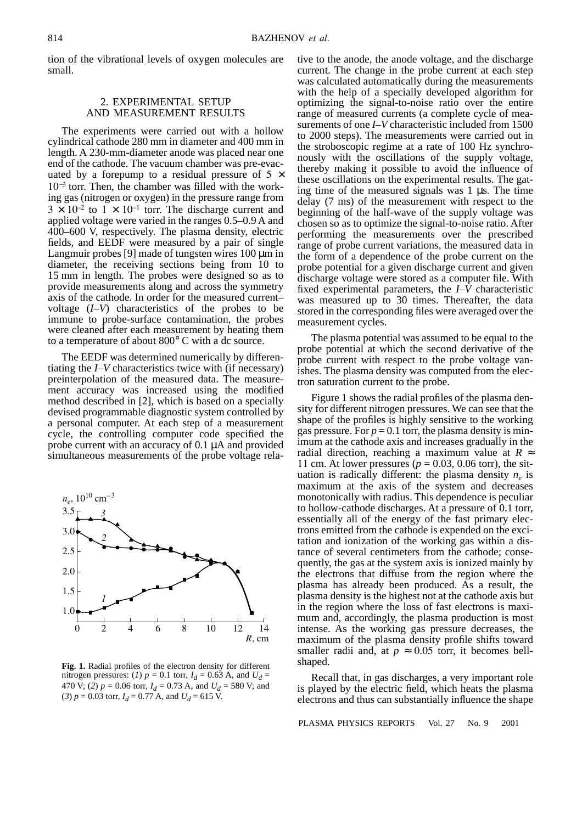tion of the vibrational levels of oxygen molecules are small.

## 2. EXPERIMENTAL SETUP AND MEASUREMENT RESULTS

The experiments were carried out with a hollow cylindrical cathode 280 mm in diameter and 400 mm in length. A 230-mm-diameter anode was placed near one end of the cathode. The vacuum chamber was pre-evacuated by a forepump to a residual pressure of  $5 \times$ 10<sup>−</sup><sup>3</sup> torr. Then, the chamber was filled with the working gas (nitrogen or oxygen) in the pressure range from  $3 \times 10^{-2}$  to  $1 \times 10^{-1}$  torr. The discharge current and applied voltage were varied in the ranges 0.5–0.9 A and 400–600 V, respectively. The plasma density, electric fields, and EEDF were measured by a pair of single Langmuir probes [9] made of tungsten wires 100 µm in diameter, the receiving sections being from 10 to 15 mm in length. The probes were designed so as to provide measurements along and across the symmetry axis of the cathode. In order for the measured current– voltage (*I–V*) characteristics of the probes to be immune to probe-surface contamination, the probes were cleaned after each measurement by heating them to a temperature of about 800° C with a dc source.

The EEDF was determined numerically by differentiating the *I–V* characteristics twice with (if necessary) preinterpolation of the measured data. The measurement accuracy was increased using the modified method described in [2], which is based on a specially devised programmable diagnostic system controlled by a personal computer. At each step of a measurement cycle, the controlling computer code specified the probe current with an accuracy of 0.1 µA and provided simultaneous measurements of the probe voltage rela-



**Fig. 1.** Radial profiles of the electron density for different nitrogen pressures: (*l*)  $p = 0.1$  torr,  $I_d = 0.63$  A, and  $U_d =$ 470 V; (2)  $p = 0.06$  torr,  $I_d = 0.73$  A, and  $U_d = 580$  V; and (3)  $p = 0.03$  torr,  $I_d = 0.77$  A, and  $U_d = 615$  V.

tive to the anode, the anode voltage, and the discharge current. The change in the probe current at each step was calculated automatically during the measurements with the help of a specially developed algorithm for optimizing the signal-to-noise ratio over the entire range of measured currents (a complete cycle of measurements of one *I–V* characteristic included from 1500 to 2000 steps). The measurements were carried out in the stroboscopic regime at a rate of 100 Hz synchronously with the oscillations of the supply voltage, thereby making it possible to avoid the influence of these oscillations on the experimental results. The gating time of the measured signals was  $1 \mu s$ . The time delay (7 ms) of the measurement with respect to the beginning of the half-wave of the supply voltage was chosen so as to optimize the signal-to-noise ratio. After performing the measurements over the prescribed range of probe current variations, the measured data in the form of a dependence of the probe current on the probe potential for a given discharge current and given discharge voltage were stored as a computer file. With fixed experimental parameters, the  $I-\hat{V}$  characteristic was measured up to 30 times. Thereafter, the data stored in the corresponding files were averaged over the measurement cycles.

The plasma potential was assumed to be equal to the probe potential at which the second derivative of the probe current with respect to the probe voltage vanishes. The plasma density was computed from the electron saturation current to the probe.

Figure 1 shows the radial profiles of the plasma density for different nitrogen pressures. We can see that the shape of the profiles is highly sensitive to the working gas pressure. For  $p = 0.1$  torr, the plasma density is minimum at the cathode axis and increases gradually in the radial direction, reaching a maximum value at  $R \approx$ 11 cm. At lower pressures ( $p = 0.03$ , 0.06 torr), the situation is radically different: the plasma density  $n_e$  is maximum at the axis of the system and decreases monotonically with radius. This dependence is peculiar to hollow-cathode discharges. At a pressure of 0.1 torr, essentially all of the energy of the fast primary electrons emitted from the cathode is expended on the excitation and ionization of the working gas within a distance of several centimeters from the cathode; consequently, the gas at the system axis is ionized mainly by the electrons that diffuse from the region where the plasma has already been produced. As a result, the plasma density is the highest not at the cathode axis but in the region where the loss of fast electrons is maximum and, accordingly, the plasma production is most intense. As the working gas pressure decreases, the maximum of the plasma density profile shifts toward smaller radii and, at  $p \approx 0.05$  torr, it becomes bellshaped.

Recall that, in gas discharges, a very important role is played by the electric field, which heats the plasma electrons and thus can substantially influence the shape

PLASMA PHYSICS REPORTS Vol. 27 No. 9 2001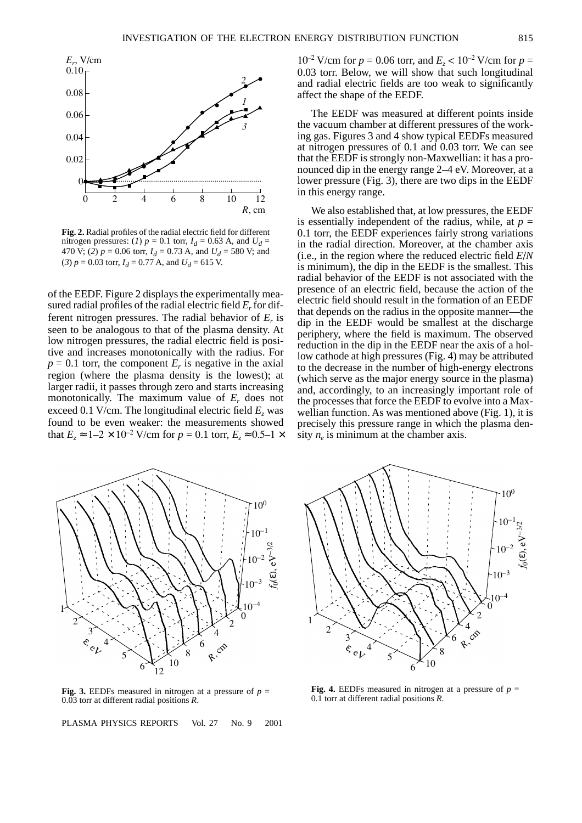

**Fig. 2.** Radial profiles of the radial electric field for different nitrogen pressures: (*1*)  $p = 0.1$  torr,  $I_d = 0.63$  A, and  $U_d =$ 470 V; (2)  $p = 0.06$  torr,  $I_d = 0.73$  A, and  $U_d = 580$  V; and (3)  $p = 0.03$  torr,  $I_d = 0.77$  A, and  $U_d = 615$  V.

of the EEDF. Figure 2 displays the experimentally measured radial profiles of the radial electric field *Er* for different nitrogen pressures. The radial behavior of  $E_r$  is seen to be analogous to that of the plasma density. At low nitrogen pressures, the radial electric field is positive and increases monotonically with the radius. For  $p = 0.1$  torr, the component  $E<sub>r</sub>$  is negative in the axial region (where the plasma density is the lowest); at larger radii, it passes through zero and starts increasing monotonically. The maximum value of  $E_r$  does not exceed 0.1 V/cm. The longitudinal electric field  $E<sub>z</sub>$  was found to be even weaker: the measurements showed that *E<sub>z</sub>* ≈ 1–2 × 10<sup>-2</sup> V/cm for *p* = 0.1 torr, *E<sub>z</sub>* ≈ 0.5–1 ×  $10^{-2}$  V/cm for  $p = 0.06$  torr, and  $E_z < 10^{-2}$  V/cm for  $p = 1$ 0.03 torr. Below, we will show that such longitudinal and radial electric fields are too weak to significantly affect the shape of the EEDF.

The EEDF was measured at different points inside the vacuum chamber at different pressures of the working gas. Figures 3 and 4 show typical EEDFs measured at nitrogen pressures of 0.1 and 0.03 torr. We can see that the EEDF is strongly non-Maxwellian: it has a pronounced dip in the energy range 2–4 eV. Moreover, at a lower pressure (Fig. 3), there are two dips in the EEDF in this energy range.

We also established that, at low pressures, the EEDF is essentially independent of the radius, while, at  $p =$ 0.1 torr, the EEDF experiences fairly strong variations in the radial direction. Moreover, at the chamber axis (i.e., in the region where the reduced electric field *E*/*N* is minimum), the dip in the EEDF is the smallest. This radial behavior of the EEDF is not associated with the presence of an electric field, because the action of the electric field should result in the formation of an EEDF that depends on the radius in the opposite manner—the dip in the EEDF would be smallest at the discharge periphery, where the field is maximum. The observed reduction in the dip in the EEDF near the axis of a hollow cathode at high pressures (Fig. 4) may be attributed to the decrease in the number of high-energy electrons (which serve as the major energy source in the plasma) and, accordingly, to an increasingly important role of the processes that force the EEDF to evolve into a Maxwellian function. As was mentioned above (Fig. 1), it is precisely this pressure range in which the plasma density  $n_e$  is minimum at the chamber axis.



**Fig. 3.** EEDFs measured in nitrogen at a pressure of  $p =$ 0.03 torr at different radial positions *R*.

PLASMA PHYSICS REPORTS Vol. 27 No. 9 2001



**Fig. 4.** EEDFs measured in nitrogen at a pressure of  $p =$ 0.1 torr at different radial positions *R*.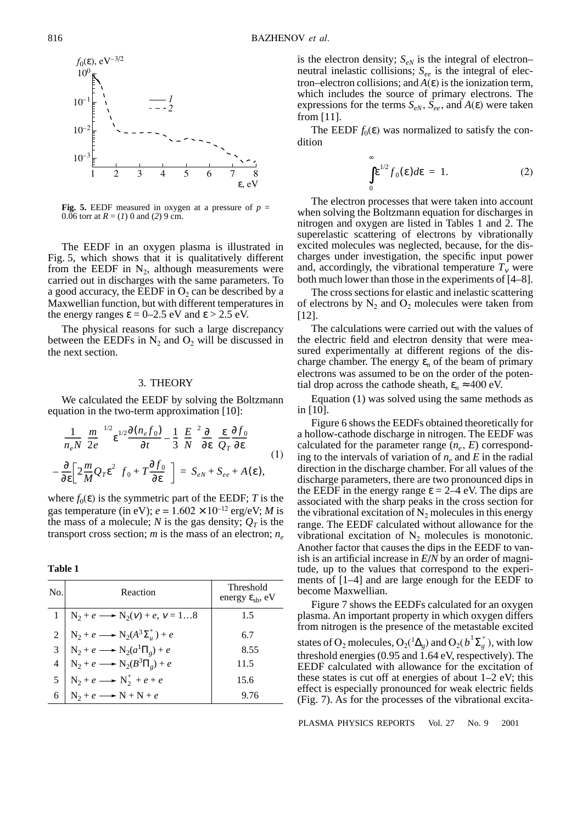

**Fig. 5.** EEDF measured in oxygen at a pressure of  $p =$ 0.06 torr at  $R = (1)$  0 and (2) 9 cm.

The EEDF in an oxygen plasma is illustrated in Fig. 5, which shows that it is qualitatively different from the EEDF in  $N_2$ , although measurements were carried out in discharges with the same parameters. To a good accuracy, the EEDF in  $O_2$  can be described by a Maxwellian function, but with different temperatures in the energy ranges  $\varepsilon = 0-2.5$  eV and  $\varepsilon > 2.5$  eV.

The physical reasons for such a large discrepancy between the EEDFs in  $N_2$  and  $O_2$  will be discussed in the next section.

### 3. THEORY

We calculated the EEDF by solving the Boltzmann equation in the two-term approximation [10]:

$$
\frac{1}{n_e N} \left(\frac{m}{2e}\right)^{1/2} \varepsilon^{1/2} \frac{\partial (n_e f_0)}{\partial t} - \frac{1}{3} \left(\frac{E}{N}\right)^2 \frac{\partial}{\partial \varepsilon} \left(\frac{\varepsilon}{Q_T} \frac{\partial f_0}{\partial \varepsilon}\right)
$$
\n
$$
-\frac{\partial}{\partial \varepsilon} \left[2\frac{m}{M} Q_T \varepsilon^2 \left(f_0 + T \frac{\partial f_0}{\partial \varepsilon}\right)\right] = S_{eN} + S_{ee} + A(\varepsilon),
$$
\n(1)

where  $f_0(\varepsilon)$  is the symmetric part of the EEDF; *T* is the gas temperature (in eV);  $e = 1.602 \times 10^{-12}$  erg/eV; *M* is the mass of a molecule; *N* is the gas density;  $Q_T$  is the transport cross section; *m* is the mass of an electron; *ne*

**Table 1**

| No. | Reaction                                                                                                                                                | Threshold<br>energy $\varepsilon_{\rm sh}$ , eV |
|-----|---------------------------------------------------------------------------------------------------------------------------------------------------------|-------------------------------------------------|
|     | $1   N_2 + e \longrightarrow N_2(v) + e, v = 18$                                                                                                        | 1.5                                             |
|     | 2 $N_2 + e \longrightarrow N_2(A^3 \Sigma_u^+) + e$<br>3 $N_2 + e \longrightarrow N_2(a^1 \Pi_g) + e$<br>4 $N_2 + e \longrightarrow N_2(B^3 \Pi_g) + e$ | 6.7                                             |
|     |                                                                                                                                                         | 8.55                                            |
|     |                                                                                                                                                         | 11.5                                            |
|     | 5 $N_2 + e \longrightarrow N_2^+ + e + e$<br>6 $N_2 + e \longrightarrow N + N + e$                                                                      | 15.6                                            |
|     |                                                                                                                                                         | 9.76                                            |

is the electron density;  $S_{eN}$  is the integral of electron– neutral inelastic collisions;  $S_{ee}$  is the integral of electron–electron collisions; and  $A(\varepsilon)$  is the ionization term, which includes the source of primary electrons. The expressions for the terms  $S_{eN}$ ,  $\overline{S}_{ee}$ , and  $A(\varepsilon)$  were taken from [11].

The EEDF  $f_0(\varepsilon)$  was normalized to satisfy the condition

$$
\int_{0}^{\infty} \varepsilon^{1/2} f_0(\varepsilon) d\varepsilon = 1.
$$
 (2)

The electron processes that were taken into account when solving the Boltzmann equation for discharges in nitrogen and oxygen are listed in Tables 1 and 2. The superelastic scattering of electrons by vibrationally excited molecules was neglected, because, for the discharges under investigation, the specific input power and, accordingly, the vibrational temperature  $T_v$  were both much lower than those in the experiments of [4–8].

The cross sections for elastic and inelastic scattering of electrons by  $N_2$  and  $O_2$  molecules were taken from [12].

The calculations were carried out with the values of the electric field and electron density that were measured experimentally at different regions of the discharge chamber. The energy  $\varepsilon_n$  of the beam of primary electrons was assumed to be on the order of the potential drop across the cathode sheath,  $\varepsilon_n \approx 400 \text{ eV}$ .

Equation (1) was solved using the same methods as in [10].

Figure 6 shows the EEDFs obtained theoretically for a hollow-cathode discharge in nitrogen. The EEDF was calculated for the parameter range  $(n_e, E)$  corresponding to the intervals of variation of  $n_e$  and E in the radial direction in the discharge chamber. For all values of the discharge parameters, there are two pronounced dips in the EEDF in the energy range  $\varepsilon = 2-4$  eV. The dips are associated with the sharp peaks in the cross section for the vibrational excitation of  $N_2$  molecules in this energy range. The EEDF calculated without allowance for the vibrational excitation of  $N_2$  molecules is monotonic. Another factor that causes the dips in the EEDF to vanish is an artificial increase in *E*/*N* by an order of magnitude, up to the values that correspond to the experiments of [1–4] and are large enough for the EEDF to become Maxwellian.

Figure 7 shows the EEDFs calculated for an oxygen plasma. An important property in which oxygen differs from nitrogen is the presence of the metastable excited states of O<sub>2</sub> molecules, O<sub>2</sub>(<sup>1</sup> $\Delta_g$ ) and O<sub>2</sub>( $b^1\Sigma_g^+$ ), with low threshold energies (0.95 and 1.64 eV, respectively). The EEDF calculated with allowance for the excitation of these states is cut off at energies of about 1–2 eV; this effect is especially pronounced for weak electric fields (Fig. 7). As for the processes of the vibrational excita-

PLASMA PHYSICS REPORTS Vol. 27 No. 9 2001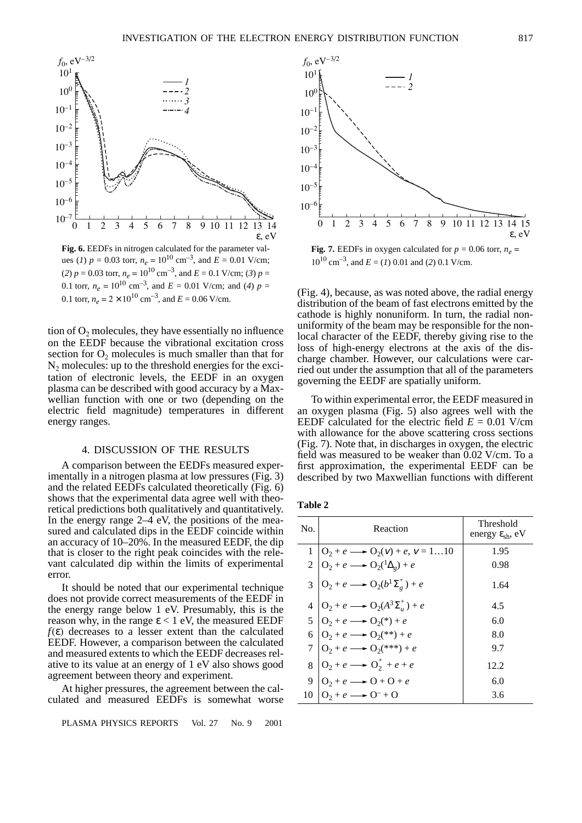

 $(2)$   $p = 0.03$  torr,  $n_e = 10^{10}$  cm<sup>-3</sup>, and  $E = 0.1$  V/cm; (3)  $p =$ 0.1 torr,  $n_e = 10^{10}$  cm<sup>-3</sup>, and  $E = 0.01$  V/cm; and (4)  $p =$ 0.1 torr,  $n_e = 2 \times 10^{10}$  cm<sup>-3</sup>, and  $E = 0.06$  V/cm.

tion of  $O<sub>2</sub>$  molecules, they have essentially no influence on the EEDF because the vibrational excitation cross section for  $O_2$  molecules is much smaller than that for  $N<sub>2</sub>$  molecules: up to the threshold energies for the excitation of electronic levels, the EEDF in an oxygen plasma can be described with good accuracy by a Maxwellian function with one or two (depending on the electric field magnitude) temperatures in different energy ranges.

#### 4. DISCUSSION OF THE RESULTS

A comparison between the EEDFs measured experimentally in a nitrogen plasma at low pressures (Fig. 3) and the related EEDFs calculated theoretically (Fig. 6) shows that the experimental data agree well with theoretical predictions both qualitatively and quantitatively. In the energy range  $2-4$  eV, the positions of the measured and calculated dips in the EEDF coincide within an accuracy of 10–20%. In the measured EEDF, the dip that is closer to the right peak coincides with the relevant calculated dip within the limits of experimental error.

It should be noted that our experimental technique does not provide correct measurements of the EEDF in the energy range below 1 eV. Presumably, this is the reason why, in the range  $\varepsilon$  < 1 eV, the measured EEDF  $f(\varepsilon)$  decreases to a lesser extent than the calculated EEDF. However, a comparison between the calculated and measured extents to which the EEDF decreases relative to its value at an energy of 1 eV also shows good agreement between theory and experiment.

At higher pressures, the agreement between the calculated and measured EEDFs is somewhat worse

PLASMA PHYSICS REPORTS Vol. 27 No. 9 2001



**Fig. 7.** EEDFs in oxygen calculated for  $p = 0.06$  torr,  $n_e$  $10^{10}$  cm<sup>-3</sup>, and  $E = (I)$  0.01 and (2) 0.1 V/cm.

(Fig. 4), because, as was noted above, the radial energy distribution of the beam of fast electrons emitted by the cathode is highly nonuniform. In turn, the radial nonuniformity of the beam may be responsible for the nonlocal character of the EEDF, thereby giving rise to the loss of high-energy electrons at the axis of the discharge chamber. However, our calculations were carried out under the assumption that all of the parameters governing the EEDF are spatially uniform.

To within experimental error, the EEDF measured in an oxygen plasma (Fig. 5) also agrees well with the EEDF calculated for the electric field  $E = 0.01$  V/cm with allowance for the above scattering cross sections (Fig. 7). Note that, in discharges in oxygen, the electric field was measured to be weaker than 0.02 V/cm. To a first approximation, the experimental EEDF can be described by two Maxwellian functions with different

| I<br>ш<br>ı |  |
|-------------|--|
|             |  |

| No. | Reaction                                                                                                                                                                              | Threshold<br>energy $\varepsilon_{\rm sh}$ , eV |
|-----|---------------------------------------------------------------------------------------------------------------------------------------------------------------------------------------|-------------------------------------------------|
|     |                                                                                                                                                                                       | 1.95                                            |
|     | 1 $\begin{cases} 0_2 + e \longrightarrow 0_2(v) + e, v = 110 \\ 0_2 + e \longrightarrow 0_2(\frac{1}{2}) + e \end{cases}$                                                             | 0.98                                            |
|     | $3\left O_2+e \longrightarrow O_2(b^1\Sigma_g^+) + e\right $                                                                                                                          | 1.64                                            |
|     | 4 $Q_2 + e \longrightarrow Q_2(A^3 \Sigma_u^+) + e$<br>5 $Q_2 + e \longrightarrow Q_2(*) + e$<br>6 $Q_2 + e \longrightarrow Q_2(**) + e$<br>7 $Q_2 + e \longrightarrow Q_2(**^+) + e$ | 4.5                                             |
|     |                                                                                                                                                                                       | 6.0                                             |
|     |                                                                                                                                                                                       | 8.0                                             |
|     |                                                                                                                                                                                       | 9.7                                             |
|     | $8\left 0_2+e \longrightarrow 0_2^+ +e+e\right $                                                                                                                                      | 12.2                                            |
|     |                                                                                                                                                                                       | 6.0                                             |
|     | 9 $\begin{array}{c} 9 \ 0_2 + e \rightarrow 0 + 0 + e \\ 10 \ 0_2 + e \rightarrow 0 + 0 \end{array}$                                                                                  | 3.6                                             |